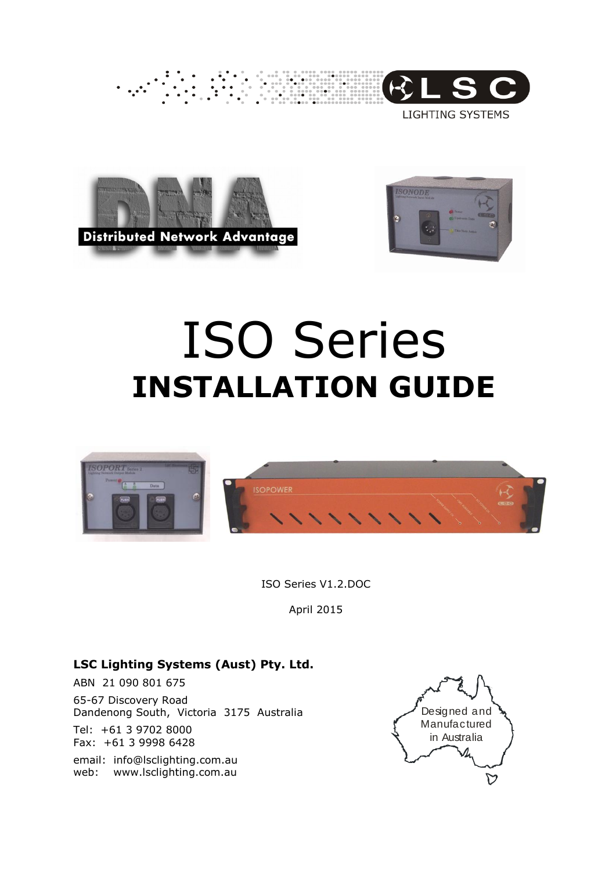

**LIGHTING SYSTEMS** 





# ISO Series **INSTALLATION GUIDE**



ISO Series V1.2.DOC

April 2015

## **LSC Lighting Systems (Aust) Pty. Ltd.**

ABN 21 090 801 675 65-67 Discovery Road Dandenong South, Victoria 3175 Australia Tel: +61 3 9702 8000

Fax: +61 3 9998 6428

email: info@lsclighting.com.au web: www.lsclighting.com.au

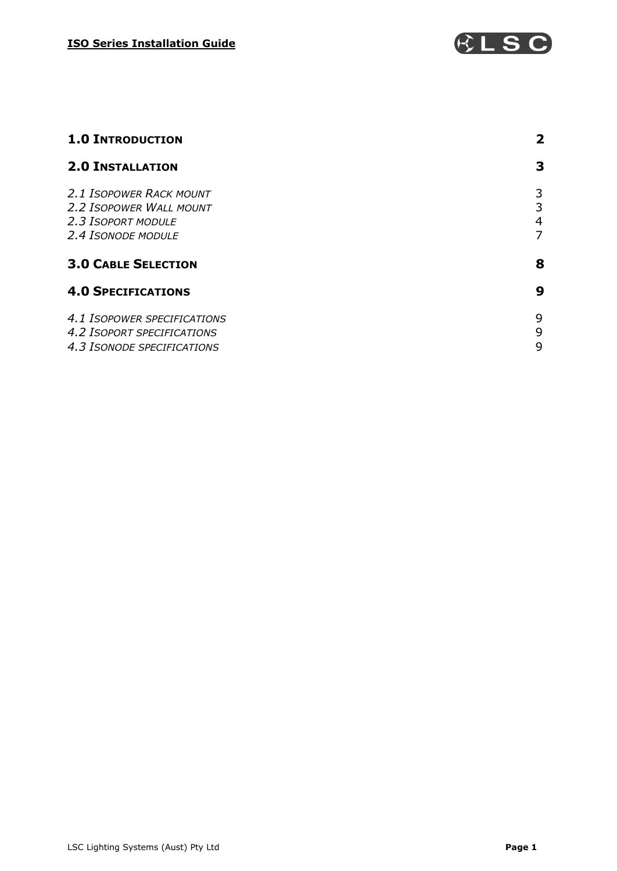

| <b>1.0 INTRODUCTION</b>                                                                               | 2                |
|-------------------------------------------------------------------------------------------------------|------------------|
| <b>2.0 INSTALLATION</b>                                                                               | 3                |
| <b>2.1 ISOPOWER RACK MOUNT</b><br>2.2 ISOPOWER WALL MOUNT<br>2.3 ISOPORT MODULE<br>2.4 ISONODE MODULE | 3<br>3<br>4<br>7 |
| <b>3.0 CABLE SELECTION</b>                                                                            | 8                |
| <b>4.0 SPECIFICATIONS</b>                                                                             | 9                |
| 4.1 ISOPOWER SPECIFICATIONS<br><b>4.2 ISOPORT SPECIFICATIONS</b><br>4.3 ISONODE SPECIFICATIONS        | 9<br>9<br>9      |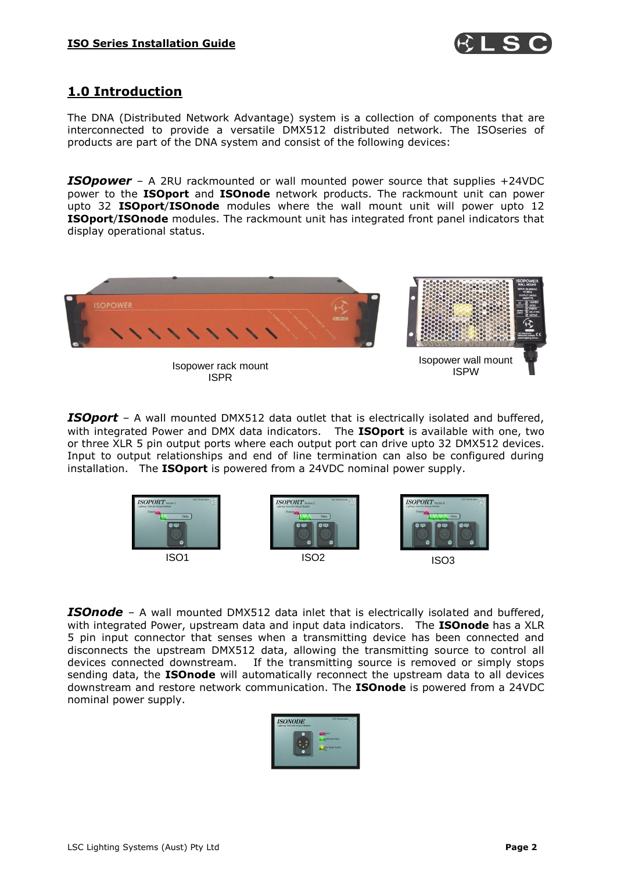

# **1.0 Introduction**

The DNA (Distributed Network Advantage) system is a collection of components that are interconnected to provide a versatile DMX512 distributed network. The ISOseries of products are part of the DNA system and consist of the following devices:

**ISOpower** – A 2RU rackmounted or wall mounted power source that supplies +24VDC power to the **ISOport** and **ISOnode** network products. The rackmount unit can power upto 32 **ISOport**/**ISOnode** modules where the wall mount unit will power upto 12 **ISOport**/**ISOnode** modules. The rackmount unit has integrated front panel indicators that display operational status.



*ISOport* – A wall mounted DMX512 data outlet that is electrically isolated and buffered, with integrated Power and DMX data indicators. The **ISOport** is available with one, two or three XLR 5 pin output ports where each output port can drive upto 32 DMX512 devices. Input to output relationships and end of line termination can also be configured during installation. The **ISOport** is powered from a 24VDC nominal power supply.



**ISOnode** – A wall mounted DMX512 data inlet that is electrically isolated and buffered, with integrated Power, upstream data and input data indicators. The **ISOnode** has a XLR 5 pin input connector that senses when a transmitting device has been connected and disconnects the upstream DMX512 data, allowing the transmitting source to control all devices connected downstream. If the transmitting source is removed or simply stops sending data, the **ISOnode** will automatically reconnect the upstream data to all devices downstream and restore network communication. The **ISOnode** is powered from a 24VDC nominal power supply.

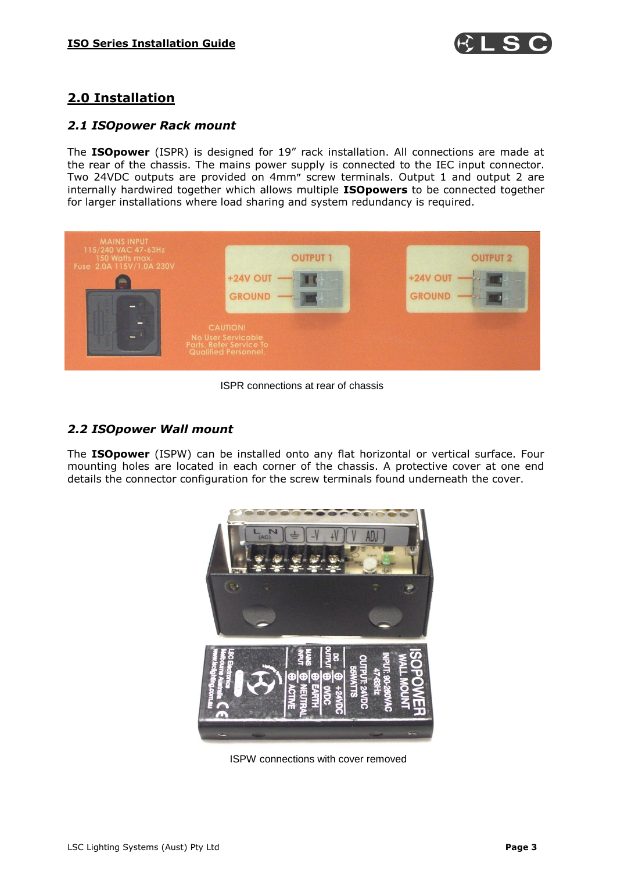

# **2.0 Installation**

#### *2.1 ISOpower Rack mount*

The **ISOpower** (ISPR) is designed for 19" rack installation. All connections are made at the rear of the chassis. The mains power supply is connected to the IEC input connector. Two 24VDC outputs are provided on 4mm" screw terminals. Output 1 and output 2 are internally hardwired together which allows multiple **ISOpowers** to be connected together for larger installations where load sharing and system redundancy is required.



ISPR connections at rear of chassis

#### *2.2 ISOpower Wall mount*

The **ISOpower** (ISPW) can be installed onto any flat horizontal or vertical surface. Four mounting holes are located in each corner of the chassis. A protective cover at one end details the connector configuration for the screw terminals found underneath the cover.



ISPW connections with cover removed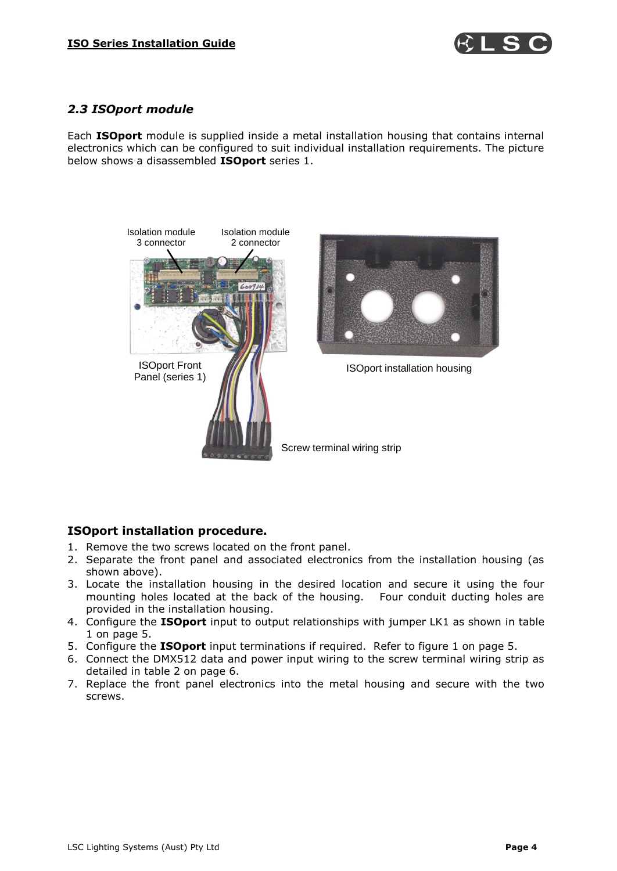

#### *2.3 ISOport module*

Each **ISOport** module is supplied inside a metal installation housing that contains internal electronics which can be configured to suit individual installation requirements. The picture below shows a disassembled **ISOport** series 1.



#### **ISOport installation procedure.**

- 1. Remove the two screws located on the front panel.
- 2. Separate the front panel and associated electronics from the installation housing (as shown above).
- 3. Locate the installation housing in the desired location and secure it using the four mounting holes located at the back of the housing. Four conduit ducting holes are provided in the installation housing.
- 4. Configure the **ISOport** input to output relationships with jumper LK1 as shown in table 1 on page 5.
- 5. Configure the **ISOport** input terminations if required. Refer to figure 1 on page 5.
- 6. Connect the DMX512 data and power input wiring to the screw terminal wiring strip as detailed in table 2 on page 6.
- 7. Replace the front panel electronics into the metal housing and secure with the two screws.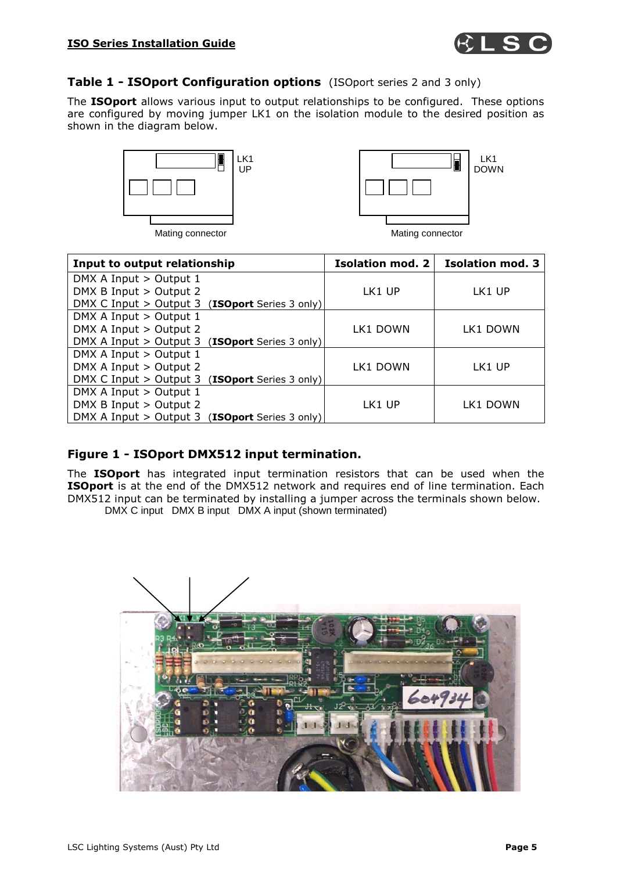

#### **Table 1 - ISOport Configuration options** (ISOport series 2 and 3 only)

The **ISOport** allows various input to output relationships to be configured. These options are configured by moving jumper LK1 on the isolation module to the desired position as shown in the diagram below.





| Input to output relationship                             | <b>Isolation mod. 2</b> | <b>Isolation mod. 3</b> |
|----------------------------------------------------------|-------------------------|-------------------------|
| DMX A Input > Output 1                                   |                         |                         |
| DMX B Input > Output 2                                   | LK1 UP                  | LK1 UP                  |
| DMX C Input > Output 3 ( <b>ISOport</b> Series 3 only)   |                         |                         |
| DMX A Input > Output 1                                   |                         |                         |
| DMX A Input > Output 2                                   | LK1 DOWN                | LK1 DOWN                |
| DMX A Input $>$ Output 3 ( <b>ISOport</b> Series 3 only) |                         |                         |
| DMX A Input > Output 1                                   |                         |                         |
| DMX A Input > Output 2                                   | LK1 DOWN                | LK1 UP                  |
| DMX C Input $>$ Output 3 (ISOport Series 3 only)         |                         |                         |
| DMX A Input > Output 1                                   |                         |                         |
| DMX B Input > Output 2                                   | LK1 UP                  | LK1 DOWN                |
| DMX A Input $>$ Output 3 ( <b>ISOport</b> Series 3 only) |                         |                         |

#### **Figure 1 - ISOport DMX512 input termination.**

The **ISOport** has integrated input termination resistors that can be used when the **ISOport** is at the end of the DMX512 network and requires end of line termination. Each DMX512 input can be terminated by installing a jumper across the terminals shown below.

DMX C input DMX B input DMX A input (shown terminated)

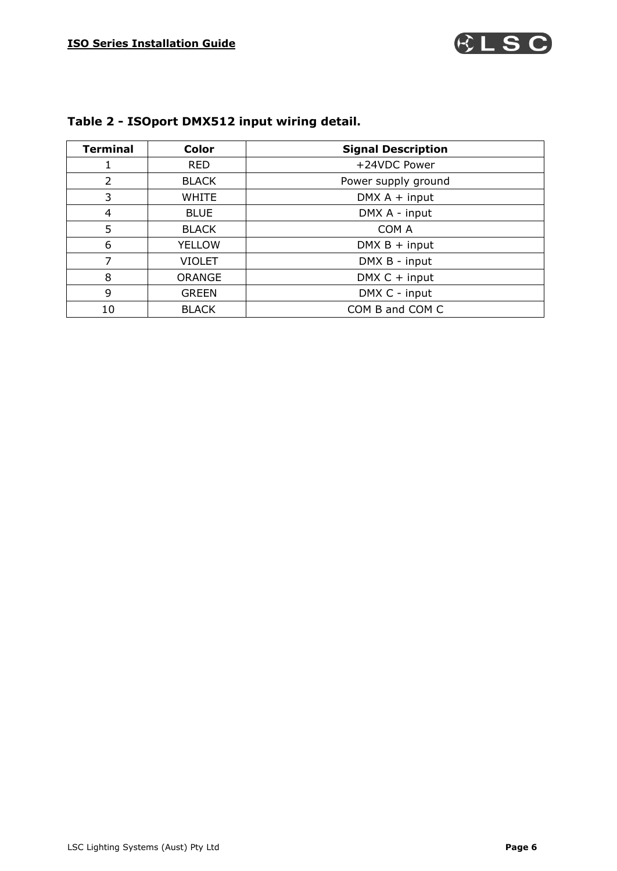

| <b>Terminal</b> | <b>Color</b>  | <b>Signal Description</b> |
|-----------------|---------------|---------------------------|
|                 | <b>RED</b>    | +24VDC Power              |
| $\overline{2}$  | <b>BLACK</b>  | Power supply ground       |
| 3               | <b>WHITE</b>  | $DMX A + input$           |
| 4               | <b>BLUE</b>   | DMX A - input             |
| 5               | <b>BLACK</b>  | COM A                     |
| 6               | <b>YELLOW</b> | $DMX B + input$           |
| 7               | <b>VIOLET</b> | DMX B - input             |
| 8               | <b>ORANGE</b> | $DMX C + input$           |
| 9               | <b>GREEN</b>  | DMX C - input             |
| 10              | <b>BLACK</b>  | COM B and COM C           |

# **Table 2 - ISOport DMX512 input wiring detail.**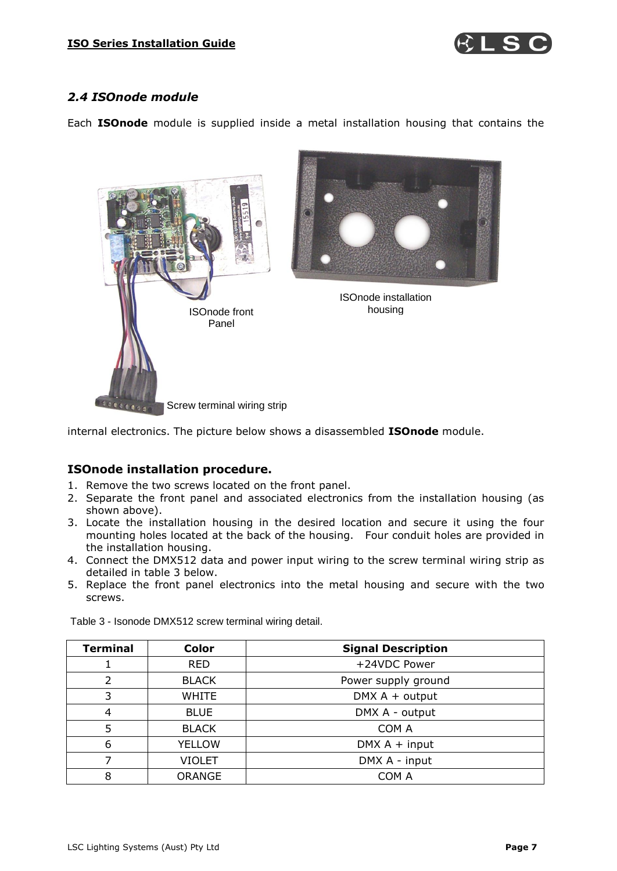

#### *2.4 ISOnode module*

Each **ISOnode** module is supplied inside a metal installation housing that contains the



internal electronics. The picture below shows a disassembled **ISOnode** module.

#### **ISOnode installation procedure.**

- 1. Remove the two screws located on the front panel.
- 2. Separate the front panel and associated electronics from the installation housing (as shown above).
- 3. Locate the installation housing in the desired location and secure it using the four mounting holes located at the back of the housing. Four conduit holes are provided in the installation housing.
- 4. Connect the DMX512 data and power input wiring to the screw terminal wiring strip as detailed in table 3 below.
- 5. Replace the front panel electronics into the metal housing and secure with the two screws.

| <b>Terminal</b> | <b>Color</b>  | <b>Signal Description</b> |
|-----------------|---------------|---------------------------|
|                 | <b>RED</b>    | +24VDC Power              |
| 2               | <b>BLACK</b>  | Power supply ground       |
| 3               | <b>WHITE</b>  | $DMX A + output$          |
| 4               | <b>BLUE</b>   | DMX A - output            |
| 5               | <b>BLACK</b>  | COM A                     |
| 6               | <b>YELLOW</b> | $DMX A + input$           |
|                 | VIOLET        | DMX A - input             |
| 8               | <b>ORANGE</b> | COM A                     |

Table 3 - Isonode DMX512 screw terminal wiring detail.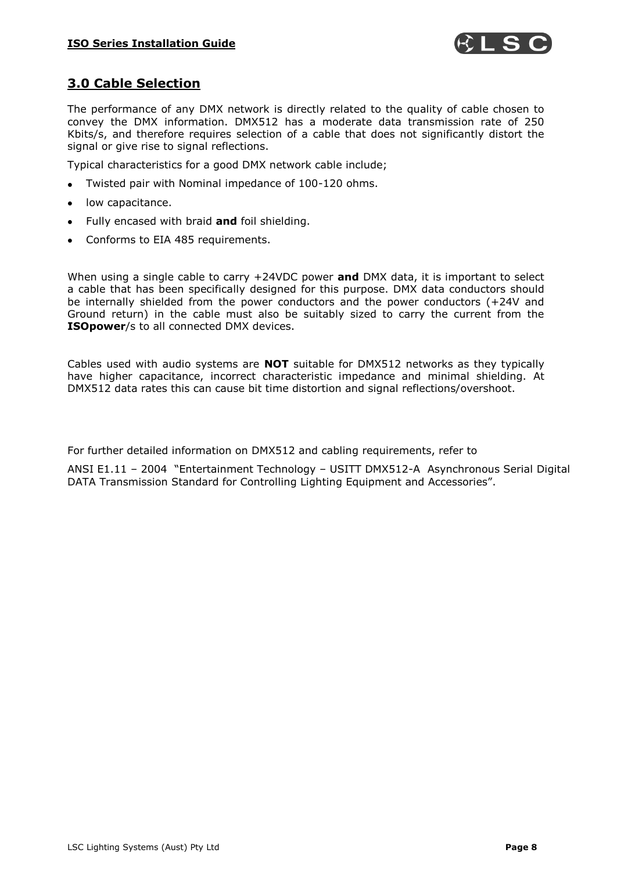

#### **3.0 Cable Selection**

The performance of any DMX network is directly related to the quality of cable chosen to convey the DMX information. DMX512 has a moderate data transmission rate of 250 Kbits/s, and therefore requires selection of a cable that does not significantly distort the signal or give rise to signal reflections.

Typical characteristics for a good DMX network cable include;

- Twisted pair with Nominal impedance of 100-120 ohms.  $\bullet$
- low capacitance.
- Fully encased with braid **and** foil shielding.
- Conforms to EIA 485 requirements.

When using a single cable to carry +24VDC power **and** DMX data, it is important to select a cable that has been specifically designed for this purpose. DMX data conductors should be internally shielded from the power conductors and the power conductors (+24V and Ground return) in the cable must also be suitably sized to carry the current from the **ISOpower**/s to all connected DMX devices.

Cables used with audio systems are **NOT** suitable for DMX512 networks as they typically have higher capacitance, incorrect characteristic impedance and minimal shielding. At DMX512 data rates this can cause bit time distortion and signal reflections/overshoot.

For further detailed information on DMX512 and cabling requirements, refer to

ANSI E1.11 – 2004 "Entertainment Technology – USITT DMX512-A Asynchronous Serial Digital DATA Transmission Standard for Controlling Lighting Equipment and Accessories".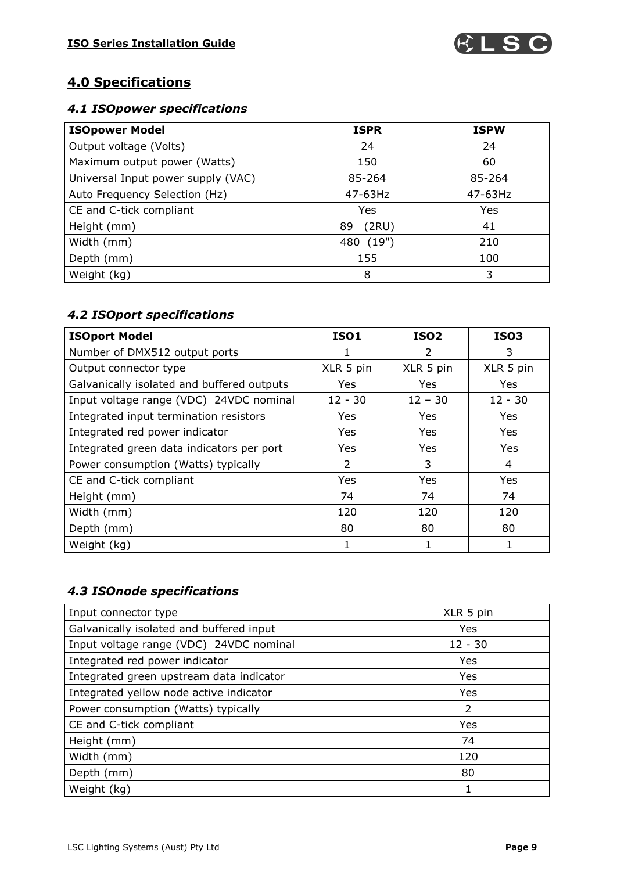

# **4.0 Specifications**

#### *4.1 ISOpower specifications*

| <b>ISOpower Model</b>              | <b>ISPR</b>  | <b>ISPW</b> |
|------------------------------------|--------------|-------------|
| Output voltage (Volts)             | 24           | 24          |
| Maximum output power (Watts)       | 150          | 60          |
| Universal Input power supply (VAC) | 85-264       | 85-264      |
| Auto Frequency Selection (Hz)      | 47-63Hz      | 47-63Hz     |
| CE and C-tick compliant            | Yes          | Yes         |
| Height (mm)                        | (2RU)<br>89  | 41          |
| Width (mm)                         | (19")<br>480 | 210         |
| Depth (mm)                         | 155          | 100         |
| Weight (kg)                        | 8            | 3           |

# *4.2 ISOport specifications*

| <b>ISOport Model</b>                       | <b>ISO1</b> | <b>ISO2</b> | <b>ISO3</b> |
|--------------------------------------------|-------------|-------------|-------------|
| Number of DMX512 output ports              | ı           | 2           | 3           |
| Output connector type                      | XLR 5 pin   | XLR 5 pin   | XLR 5 pin   |
| Galvanically isolated and buffered outputs | Yes         | Yes         | Yes         |
| Input voltage range (VDC) 24VDC nominal    | $12 - 30$   | $12 - 30$   | $12 - 30$   |
| Integrated input termination resistors     | Yes         | Yes         | Yes         |
| Integrated red power indicator             | Yes         | Yes         | Yes         |
| Integrated green data indicators per port  | Yes         | Yes         | Yes         |
| Power consumption (Watts) typically        | 2           | 3           | 4           |
| CE and C-tick compliant                    | Yes         | Yes         | Yes         |
| Height (mm)                                | 74          | 74          | 74          |
| Width (mm)                                 | 120         | 120         | 120         |
| Depth (mm)                                 | 80          | 80          | 80          |
| Weight (kg)                                |             |             |             |

## *4.3 ISOnode specifications*

| Input connector type                     | XLR 5 pin  |
|------------------------------------------|------------|
| Galvanically isolated and buffered input | Yes        |
| Input voltage range (VDC) 24VDC nominal  | $12 - 30$  |
| Integrated red power indicator           | Yes        |
| Integrated green upstream data indicator | Yes        |
| Integrated yellow node active indicator  | <b>Yes</b> |
| Power consumption (Watts) typically      | 2          |
| CE and C-tick compliant                  | Yes        |
| Height (mm)                              | 74         |
| Width (mm)                               | 120        |
| Depth (mm)                               | 80         |
| Weight (kg)                              |            |